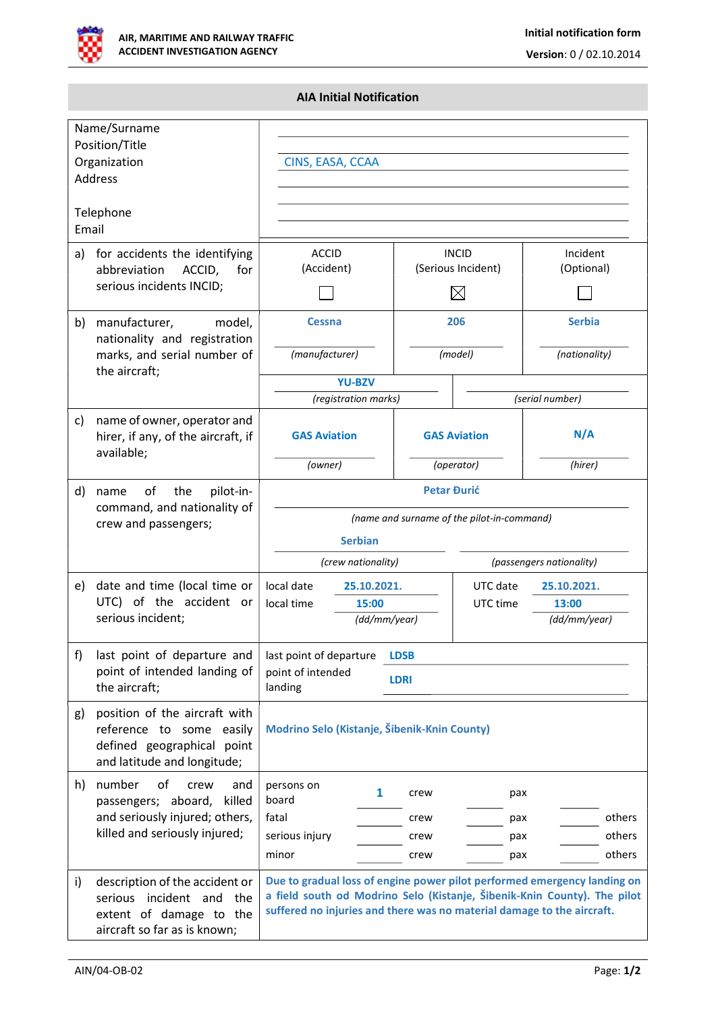

## AIA Initial Notification

| Name/Surname<br>Position/Title<br>Organization<br>Address |                                                                                                                          | CINS, EASA, CCAA                                                                                                                                                                                                               |                |                                                   |                                |  |
|-----------------------------------------------------------|--------------------------------------------------------------------------------------------------------------------------|--------------------------------------------------------------------------------------------------------------------------------------------------------------------------------------------------------------------------------|----------------|---------------------------------------------------|--------------------------------|--|
| Telephone<br>Email                                        |                                                                                                                          |                                                                                                                                                                                                                                |                |                                                   |                                |  |
| a)                                                        | for accidents the identifying<br>ACCID,<br>abbreviation<br>for<br>serious incidents INCID;                               | <b>ACCID</b><br>(Accident)                                                                                                                                                                                                     |                | <b>INCID</b><br>(Serious Incident)<br>$\boxtimes$ | Incident<br>(Optional)         |  |
| b)                                                        | manufacturer,<br>model,<br>nationality and registration<br>marks, and serial number of                                   | <b>Cessna</b><br>(manufacturer)                                                                                                                                                                                                | 206<br>(model) |                                                   | <b>Serbia</b><br>(nationality) |  |
|                                                           | the aircraft;                                                                                                            | <b>YU-BZV</b>                                                                                                                                                                                                                  |                |                                                   |                                |  |
|                                                           |                                                                                                                          | (registration marks)                                                                                                                                                                                                           |                |                                                   | (serial number)                |  |
| C)                                                        | name of owner, operator and<br>hirer, if any, of the aircraft, if<br>available;                                          | <b>GAS Aviation</b>                                                                                                                                                                                                            |                | <b>GAS Aviation</b>                               | N/A                            |  |
|                                                           |                                                                                                                          | (owner)                                                                                                                                                                                                                        |                | (operator)                                        | (hirer)                        |  |
| d)                                                        | the<br>pilot-in-<br>οf<br>name<br>command, and nationality of<br>crew and passengers;                                    | <b>Petar Đurić</b><br>(name and surname of the pilot-in-command)                                                                                                                                                               |                |                                                   |                                |  |
|                                                           |                                                                                                                          | <b>Serbian</b>                                                                                                                                                                                                                 |                |                                                   |                                |  |
|                                                           |                                                                                                                          | (crew nationality)<br>(passengers nationality)                                                                                                                                                                                 |                |                                                   |                                |  |
| e)                                                        | date and time (local time or                                                                                             | local date<br>25.10.2021.                                                                                                                                                                                                      |                | UTC date<br>25.10.2021.                           |                                |  |
| UTC) of the accident or<br>serious incident;              |                                                                                                                          | local time<br>15:00                                                                                                                                                                                                            | (dd/mm/year)   | UTC time                                          | 13:00<br>(dd/mm/year)          |  |
| f)                                                        | last point of departure and                                                                                              | last point of departure<br><b>LDSB</b>                                                                                                                                                                                         |                |                                                   |                                |  |
|                                                           | point of intended landing of<br>the aircraft;                                                                            | point of intended<br><b>LDRI</b><br>landing                                                                                                                                                                                    |                |                                                   |                                |  |
| g)                                                        | position of the aircraft with<br>reference to some easily<br>defined geographical point<br>and latitude and longitude;   | Modrino Selo (Kistanje, Šibenik-Knin County)                                                                                                                                                                                   |                |                                                   |                                |  |
| h)                                                        | number<br>of<br>crew<br>and<br>passengers; aboard,<br>killed                                                             | persons on<br>1<br>board                                                                                                                                                                                                       | crew           | pax                                               |                                |  |
|                                                           | and seriously injured; others,<br>killed and seriously injured;                                                          | fatal                                                                                                                                                                                                                          | crew           | pax                                               | others                         |  |
|                                                           |                                                                                                                          | serious injury<br>minor                                                                                                                                                                                                        | crew<br>crew   | pax<br>pax                                        | others<br>others               |  |
|                                                           |                                                                                                                          |                                                                                                                                                                                                                                |                |                                                   |                                |  |
| i)                                                        | description of the accident or<br>serious incident and<br>the<br>extent of damage to the<br>aircraft so far as is known; | Due to gradual loss of engine power pilot performed emergency landing on<br>a field south od Modrino Selo (Kistanje, Šibenik-Knin County). The pilot<br>suffered no injuries and there was no material damage to the aircraft. |                |                                                   |                                |  |